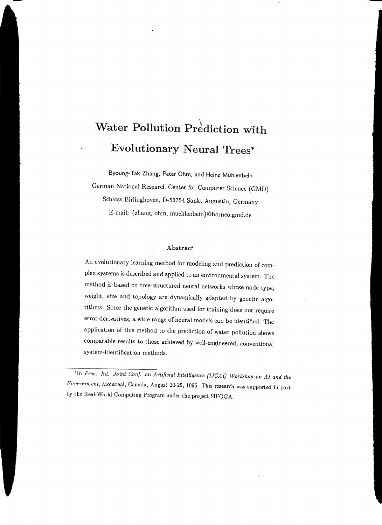# **Water Pollution Prediction with Evolutionary Neural Trees\***

Byoung-Tak Zhang, Peter Ohm, and Heinz Muhlenbein German National Research Center for Computer Science (GMD) Schloss Birlinghoven, D-53754 Sankt Augustin, Germany E-mail: {zhang, ohm, muehlenbein}@borneo.gmd.de

#### Abstract

An evolutionary learning method for modeling and prediction of complex systems is described and applied to an environmental system. The method is based on tree-structured neural networks whose node type, weight, size and topology are dynamically adapted by genetic algorithms. Since the genetic algorithm used for training does not require error derivatives, a wide range of neural models can be identified. The application of this method to the prediction of water pollution shows comparable results to those achieved by well-engineered, conventional system-identification methods.

<sup>•In</sup> *Proc. Int. Joint Conf. on Artificial Intelligence (IJCAI)* Workshop on AI and the *Envimmnent,* Montreal, Canada, August 20-25, 1995. This research was supported in part by the Real-World Computing Program under the project SIFOGA.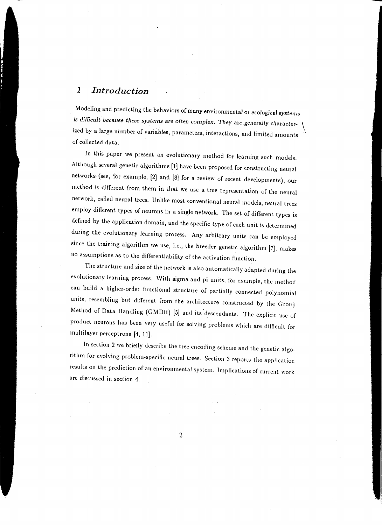## *1 Introduction*

Modeling and predicting the behaviors of many environmental or ecological *systems*  is difficult because these systems are often complex. They are generally characterized by a large number of variables, parameters, interactions, and limited amounts of collected data.

-

In this paper we present an evolutionary method for learning such models. Although several genetic algorithms (1] have been proposed for constructing neural networks (see, for example, [2] and [8] for a review of recent developments), our method is different from them in that we use a tree representation of the neural network, called neural trees. Unlike most conventional neural models, neural trees employ different types of neurons in a single network. The set of different types is defined by the application domain, and the specific type of each unit is determined during the evolutionary learning process. Any arbitrary units can be employed since the training algorithm we use, i.e., the breeder genetic algorithm [7], makes no assumptions as to the differentiability of the activation function.

The structure and size of the network is also automatically adapted during the evolutionary learning process. With sigma and pi units, for example, the method can build a higher-order functional structure of partially connected polynomial units, resembling but different from the architecture constructed by the Group Method of Data Handling (GMDH) [5] and its descendants. The explicit use of product neurons has been very useful for solving problems which are difficult for multilayer perceptrons (4, 11].

In section 2 we briefly describe the tree encoding scheme and the genetic algorithm for evolving problem-specific neural trees. Section 3 reports the application results on the prediction of an environmental system. Implications of current work are discussed in section 4.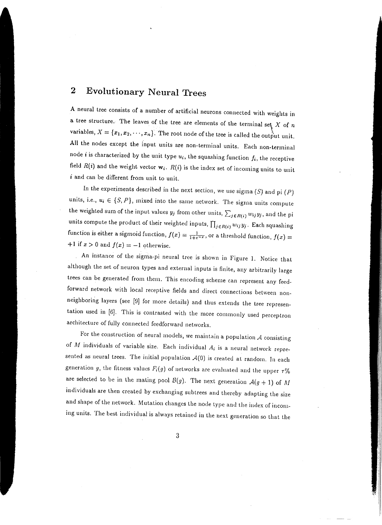# **2 Evolutionary Neural Trees**

A neural tree consists of a number of artificial neurons connected with weights in a tree structure. The leaves of the tree are elements of the terminal set  $X$  of  $n$ variables,  $X = \{x_1, x_2, \dots, x_n\}$ . The root node of the tree is called the output unit. All the nodes except the input units are non-terminal units. Each non-terminal node *i* is characterized by the unit type  $u_i$ , the squashing function  $f_i$ , the receptive field  $R(i)$  and the weight vector  $w_i$ .  $R(i)$  is the index set of incoming units to unit *i* and can be different from unit to unit.

In the experiments described in the next section, we use sigma  $(S)$  and pi  $(P)$ units, i.e.,  $u_i \in \{S, P\}$ , mixed into the same network. The sigma units compute the weighted sum of the input values  $y_j$  from other units,  $\sum_{j \in R(i)} w_{ij} y_j$ , and the pi units compute the product of their weighted inputs,  $\prod_{j\in R(i)} w_{ij}y_j$ . Each squashing function is either a sigmoid function,  $f(x) = \frac{1}{1+e^{-x}}$ , or a threshold function,  $f(x)$  $+1$  if  $x > 0$  and  $f(x) = -1$  otherwise.

An instance of the sigma-pi neural tree is shown in Figure 1. Notice that although the set of neuron types and external inputs is finite, any arbitrarily large trees can be generated from them. This encoding scheme can represent any feedforward network with local receptive fields and direct connections between nonneighboring layers (see (9) for more details) and thus extends the tree representation used in (6]. This is contrasted with the more commonly used perceptron architecture of fully connected feedforward networks.

For the construction of neural models, we maintain a population *A* consisting of M individuals of variable size. Each individual  $A_i$  is a neural network represented as neural trees. The initial population  $A(0)$  is created at random. In each generation g, the fitness values  $F_i(g)$  of networks are evaluated and the upper  $\tau\%$ are selected to be in the mating pool  $B(g)$ . The next generation  $A(g + 1)$  of M individuals are then created by exchanging subtrees and thereby adapting the size and shape of the network. Mutation changes the node type and the index of incoming units. The best individual is always retained in the next generation so that the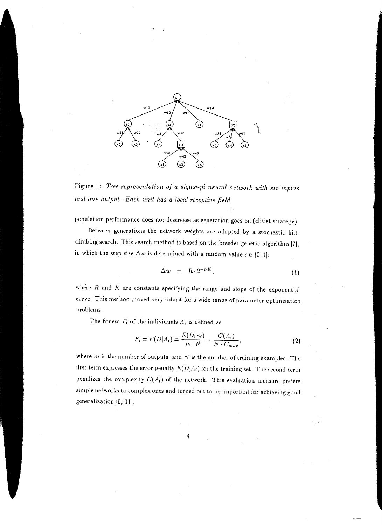

Figure 1: *Tree representation of a sigma-pi neural network with six inputs and one output. Each unit has a local receptive field.* 

population performance does not descrease as generation goes on (elitist strategy).

Between generations the network weights are adapted by a stochastic hillclimbing search. This search method is based on the breeder genetic algorithm (7], in which the step size  $\Delta w$  is determined with a random value  $\epsilon \in [0, 1]$ :

$$
\Delta w = R \cdot 2^{-\epsilon \cdot K}, \tag{1}
$$

where  $R$  and  $K$  are constants specifying the range and slope of the exponential curve. This method proved very robust for a wide range of parameter-optimization problems.

The fitness *F;* of the individuals *A;* is defined as

$$
F_i = F(D|A_i) = \frac{E(D|A_i)}{m \cdot N} + \frac{C(A_i)}{N \cdot C_{max}},
$$
\n(2)

where m is the number of outputs, and *N* is the number of training examples. The first term expresses the error penalty  $E(D|A_i)$  for the training set. The second term penalizes the complexity  $C(A_i)$  of the network. This evaluation measure prefers simple networks to complex ones and turned out to be important for achieving good generalization (9, 11].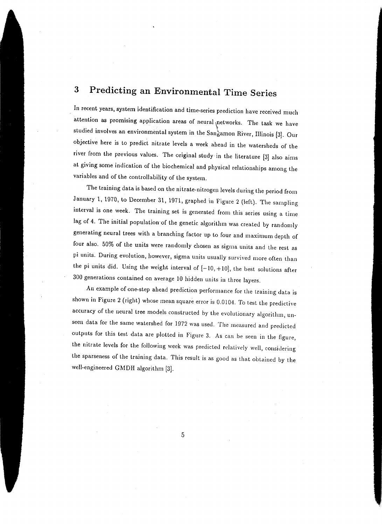# **3 Predicting an Environmental Time Series**

In recent years, system identification and time-series prediction have received much attention as promising application areas of neural networks. The task we have studied involves an environmental system in the Sangamon River, Illinois [3]. Our objective here is to predict nitrate levels a week ahead in the watersheds of the river from the previous values. The original study in the literature [3) also aims at giving some indication of the biochemical and physical relationships among the variables and of the controllability of the system.

The training data is based on the nitrate-nitrogen levels during the period from January 1, 1970, to December 31, 1971, graphed in Figure 2 (left). The sampling interval is one week. The training set is generated from this series using a time lag of 4. The initial population·of the genetic algorithm was created by randomly generating neural trees with a branching factor up to four and maximum depth of four also. 50% of the units were randomly chosen as sigma units and the rest as pi units. During evolution, however, sigma units usually survived more often than the pi units did. Using the weight interval of  $[-10, +10]$ , the best solutions after 300 generations contained on average 10 hidden units in three layers.

An example of one-step ahead prediction performance for the training data is shown in Figure 2 (right) whose mean square error is 0.0104. To test the predictive accuracy of the neural tree models constructed by the evolutionary algorithm, unseen data for the same watershed for 1972 was used. The measured and predicted outputs for this test data are plotted in Figure 3. As can be seen in the figure, the nitrate levels for the following week was predicted relatively well, considering the sparseness of the training data. This result is as good as that obtained by the well-engineered GMDH algorithm [3].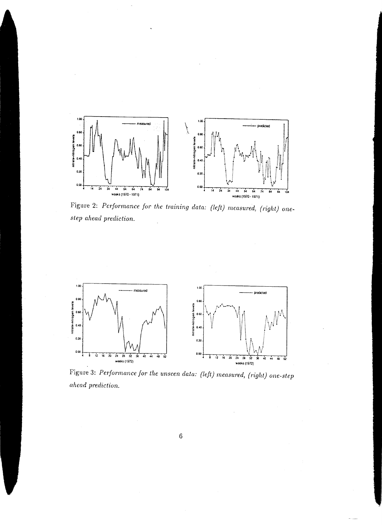

Figure 2: *Performance for the training data: (left) measured, (right) onestep ahead prediction.* 



Figure 3: *Performance for the unseen data: (left) measured, (right) one-step ahead prediction.*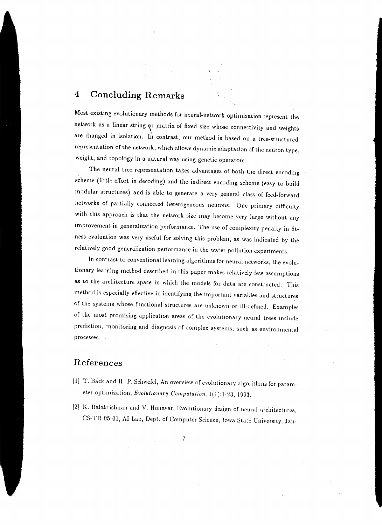### **4 Concluding Remarks**

Most existing evolutionary methods for neural-network optimization represent the network as a linear string or matrix of fixed size whose connectivity and weights are changed in isolation. In contrast, our method is based on a tree-structured representation of the network, which allows dynamic adaptation of the neuron type, weight, and topology in a natural way using genetic operators.

The neural tree representation takes advantages of both the direct encoding scheme (little effort in decoding) and the indirect encoding scheme (easy to build modular structures) and is able to generate a very general class of feed-forward networks of partially connected heterogeneous neurons. One primary difficulty with this approach is that the network size may become very large without any improvement in generalization performance. The use of complexity penalty in fitness evaluation was very useful for solving this problem, as was indicated by the relatively good generalization performance in the water pollution experiments.

In contrast to conventional learning algorithms for neural networks, the evolutionary learning method described in this paper makes relatively few assumptions as to the architecture space in which the models for data are constructed. This method is especially effective in identifying the important variables and structures of the systems whose functional structures are unknown or ill-defined. Examples of the most promising application areas of the evolutionary neural trees include prediction, monitoring and diagnosis of complex systems, such as environmental processes.

#### **References**

- [1] T. Back and H.-P. Schwefel, An overview of evolutionary algorithms for parameter optimization, *Evolutionary Computation*, 1(1):1-23, 1993.
- [2] K. Balakrishnan and V. Honavar, Evolutionary design of neural architectures, CS-TR-95-01, AI Lab, Dept. of Computer Science, Iowa State University, Jan-